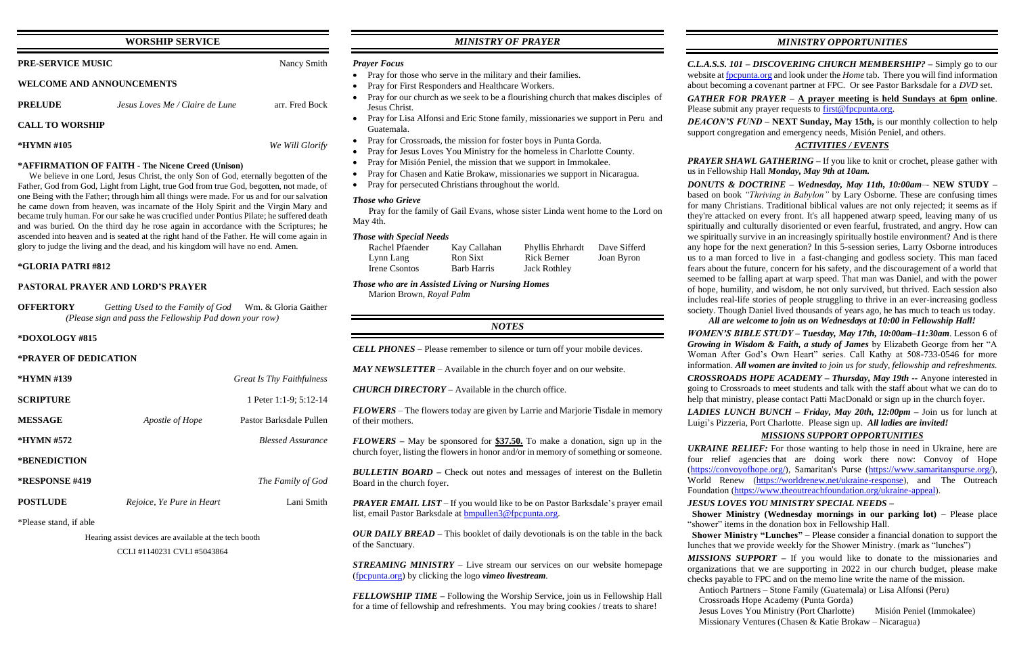# **WORSHIP SERVICE**

| <b>PRE-SERVICE MUSIC</b>         | Nancy Smith |
|----------------------------------|-------------|
| <b>WELCOME AND ANNOUNCEMENTS</b> |             |

**PRELUDE** *Jesus Loves Me / Claire de Lune* arr. Fred Bock

**CALL TO WORSHIP**

**\*HYMN #105** *We Will Glorify*

## **\*AFFIRMATION OF FAITH - The Nicene Creed (Unison)**

 We believe in one Lord, Jesus Christ, the only Son of God, eternally begotten of the Father, God from God, Light from Light, true God from true God, begotten, not made, of one Being with the Father; through him all things were made. For us and for our salvation he came down from heaven, was incarnate of the Holy Spirit and the Virgin Mary and became truly human. For our sake he was crucified under Pontius Pilate; he suffered death and was buried. On the third day he rose again in accordance with the Scriptures; he ascended into heaven and is seated at the right hand of the Father. He will come again in glory to judge the living and the dead, and his kingdom will have no end. Amen.

### **\*GLORIA PATRI #812**

### **PASTORAL PRAYER AND LORD'S PRAYER**

**OFFERTORY** *Getting Used to the Family of God* Wm. & Gloria Gaither *(Please sign and pass the Fellowship Pad down your row)*

### **\*DOXOLOGY #815**

### **\*PRAYER OF DEDICATION**

| $*HYMN \#139$          |                           | <b>Great Is Thy Faithfulness</b> |
|------------------------|---------------------------|----------------------------------|
| <b>SCRIPTURE</b>       |                           | 1 Peter 1:1-9; 5:12-14           |
| <b>MESSAGE</b>         | Apostle of Hope           | Pastor Barksdale Pullen          |
| $*HYMN \#572$          |                           | <b>Blessed Assurance</b>         |
| *BENEDICTION           |                           |                                  |
| <b>*RESPONSE #419</b>  |                           | The Family of God                |
| <b>POSTLUDE</b>        | Rejoice, Ye Pure in Heart | Lani Smith                       |
| *Please stand, if able |                           |                                  |

Hearing assist devices are available at the tech booth

CCLI #1140231 CVLI #5043864

# *MINISTRY OF PRAYER*

### *Prayer Focus*

- Pray for those who serve in the military and their families.
- Pray for First Responders and Healthcare Workers.
- Pray for our church as we seek to be a flourishing church that makes disciples of Jesus Christ.
- Pray for Lisa Alfonsi and Eric Stone family, missionaries we support in Peru and Guatemala.
- Pray for Crossroads, the mission for foster boys in Punta Gorda.
- Pray for Jesus Loves You Ministry for the homeless in Charlotte County.
- Pray for Misión Peniel, the mission that we support in Immokalee.
- Pray for Chasen and Katie Brokaw, missionaries we support in Nicaragua.
- Pray for persecuted Christians throughout the world.

*PRAYER EMAIL LIST* – If you would like to be on Pastor Barksdale's prayer email list, email Pastor Barksdale at [bmpullen3@fpcpunta.org.](about:blank)

*GATHER FOR PRAYER –* **A prayer meeting is held Sundays at 6pm online**. Please submit any prayer requests to **first@fpcpunta.org**.

*PRAYER SHAWL GATHERING –* If you like to knit or crochet, please gather with us in Fellowship Hall *Monday, May 9th at 10am.*

## *Those who Grieve*

 Pray for the family of Gail Evans, whose sister Linda went home to the Lord on May 4th.

### *Those with Special Needs*

| Rachel Pfaender | Kay Callahan       | Phyllis Ehrhardt    | Dave Sifferd |
|-----------------|--------------------|---------------------|--------------|
| Lynn Lang       | Ron Sixt           | <b>Rick Berner</b>  | Joan Byron   |
| Irene Csontos   | <b>Barb Harris</b> | <b>Jack Rothley</b> |              |

*Those who are in Assisted Living or Nursing Homes* Marion Brown, *Royal Palm*

# *NOTES*

*CELL PHONES –* Please remember to silence or turn off your mobile devices.

*MAY NEWSLETTER –* Available in the church foyer and on our website.

*CHURCH DIRECTORY –* Available in the church office.

*FLOWERS* – The flowers today are given by Larrie and Marjorie Tisdale in memory of their mothers.

*FLOWERS –* May be sponsored for **\$37.50.** To make a donation, sign up in the church foyer, listing the flowers in honor and/or in memory of something or someone.

*BULLETIN BOARD –* Check out notes and messages of interest on the Bulletin Board in the church foyer.

*OUR DAILY BREAD –* This booklet of daily devotionals is on the table in the back of the Sanctuary.

*STREAMING MINISTRY –* Live stream our services on our website homepage [\(fpcpunta.org\)](about:blank) by clicking the logo *vimeo livestream.*

*FELLOWSHIP TIME –* Following the Worship Service, join us in Fellowship Hall for a time of fellowship and refreshments. You may bring cookies / treats to share!

*C.L.A.S.S. 101 – DISCOVERING CHURCH MEMBERSHIP? –* Simply go to our website a[t fpcpunta.org](about:blank) and look under the *Home* tab. There you will find information about becoming a covenant partner at FPC. Or see Pastor Barksdale for a *DVD* set.

*DEACON'S FUND –* **NEXT Sunday, May 15th,** is our monthly collection to help support congregation and emergency needs, Misión Peniel, and others.

# *ACTIVITIES / EVENTS*

*DONUTS & DOCTRINE – Wednesday, May 11th, 10:00am*–- **NEW STUDY –** based on book *"Thriving in Babylon"* by Lary Osborne. These are confusing times for many Christians. Traditional biblical values are not only rejected; it seems as if they're attacked on every front. It's all happened atwarp speed, leaving many of us spiritually and culturally disoriented or even fearful, frustrated, and angry. How can we spiritually survive in an increasingly spiritually hostile environment? And is there any hope for the next generation? In this 5-session series, Larry Osborne introduces us to a man forced to live in a fast-changing and godless society. This man faced fears about the future, concern for his safety, and the discouragement of a world that seemed to be falling apart at warp speed. That man was Daniel, and with the power of hope, humility, and wisdom, he not only survived, but thrived. Each session also includes real-life stories of people struggling to thrive in an ever-increasing godless society. Though Daniel lived thousands of years ago, he has much to teach us today. *All are welcome to join us on Wednesdays at 10:00 in Fellowship Hall!*

*WOMEN'S BIBLE STUDY – Tuesday, May 17th, 10:00am–11:30am*. Lesson 6 of *Growing in Wisdom & Faith, a study of James* by Elizabeth George from her "A Woman After God's Own Heart" series. Call Kathy at 508-733-0546 for more information. *All women are invited to join us for study, fellowship and refreshments. CROSSROADS HOPE ACADEMY – Thursday, May 19th --* Anyone interested in

going to Crossroads to meet students and talk with the staff about what we can do to help that ministry, please contact Patti MacDonald or sign up in the church foyer.

*LADIES LUNCH BUNCH – Friday, May 20th, 12:00pm –* Join us for lunch at Luigi's Pizzeria, Port Charlotte. Please sign up. *All ladies are invited!*

## *MISSIONS SUPPORT OPPORTUNITIES*

*UKRAINE RELIEF:* For those wanting to help those in need in Ukraine, here are four relief agencies that are doing work there now: Convoy of Hope [\(https://convoyofhope.org/\)](https://convoyofhope.org/), Samaritan's Purse [\(https://www.samaritanspurse.org/\)](https://www.samaritanspurse.org/), World Renew [\(https://worldrenew.net/ukraine-response\)](https://worldrenew.net/ukraine-response), and The Outreach Foundation [\(https://www.theoutreachfoundation.org/ukraine-appeal\)](https://www.theoutreachfoundation.org/ukraine-appeal).

## *JESUS LOVES YOU MINISTRY SPECIAL NEEDS –*

 **Shower Ministry (Wednesday mornings in our parking lot)** – Please place "shower" items in the donation box in Fellowship Hall.  **Shower Ministry "Lunches"** – Please consider a financial donation to support the

lunches that we provide weekly for the Shower Ministry. (mark as "lunches")

*MISSIONS SUPPORT –* If you would like to donate to the missionaries and organizations that we are supporting in 2022 in our church budget, please make checks payable to FPC and on the memo line write the name of the mission. Antioch Partners – Stone Family (Guatemala) or Lisa Alfonsi (Peru) Crossroads Hope Academy (Punta Gorda) Jesus Loves You Ministry (Port Charlotte) Misión Peniel (Immokalee) Missionary Ventures (Chasen & Katie Brokaw – Nicaragua)